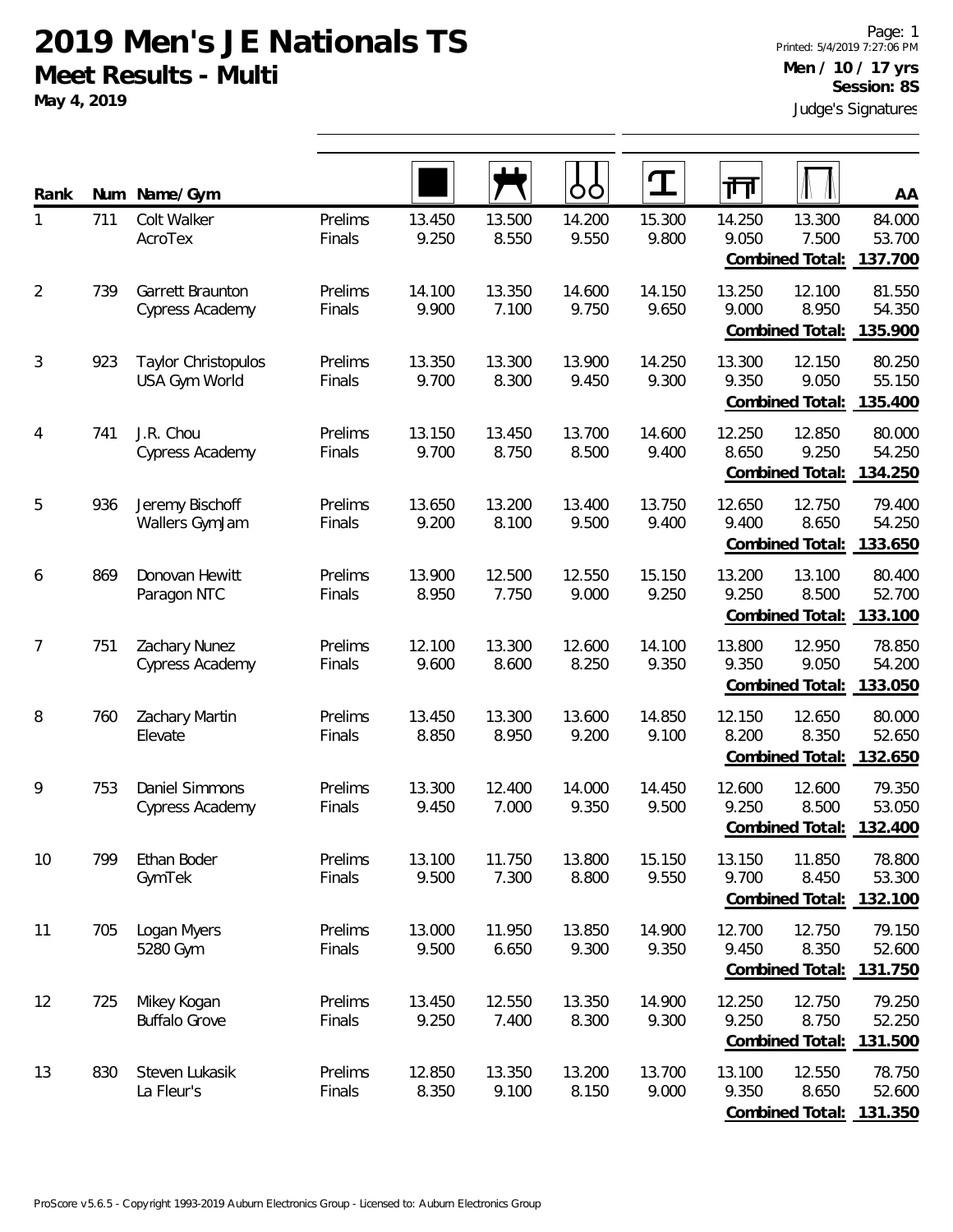**May 4, 2019**

| Rank           | Num | Name/Gym                                        |                   |                 |                 | OO              | T               | गा              |                                            | AA                          |
|----------------|-----|-------------------------------------------------|-------------------|-----------------|-----------------|-----------------|-----------------|-----------------|--------------------------------------------|-----------------------------|
| 1              | 711 | Colt Walker<br>AcroTex                          | Prelims<br>Finals | 13.450<br>9.250 | 13.500<br>8.550 | 14.200<br>9.550 | 15.300<br>9.800 | 14.250<br>9.050 | 13.300<br>7.500<br>Combined Total:         | 84.000<br>53.700<br>137.700 |
| $\overline{2}$ | 739 | Garrett Braunton<br><b>Cypress Academy</b>      | Prelims<br>Finals | 14.100<br>9.900 | 13.350<br>7.100 | 14.600<br>9.750 | 14.150<br>9.650 | 13.250<br>9.000 | 12.100<br>8.950<br>Combined Total:         | 81.550<br>54.350<br>135.900 |
| 3              | 923 | Taylor Christopulos<br>USA Gym World            | Prelims<br>Finals | 13.350<br>9.700 | 13.300<br>8.300 | 13.900<br>9.450 | 14.250<br>9.300 | 13.300<br>9.350 | 12.150<br>9.050<br><b>Combined Total:</b>  | 80.250<br>55.150<br>135.400 |
| 4              | 741 | J.R. Chou<br>Cypress Academy                    | Prelims<br>Finals | 13.150<br>9.700 | 13.450<br>8.750 | 13.700<br>8.500 | 14.600<br>9.400 | 12.250<br>8.650 | 12.850<br>9.250<br>Combined Total:         | 80.000<br>54.250<br>134.250 |
| 5              | 936 | Jeremy Bischoff<br>Wallers GymJam               | Prelims<br>Finals | 13.650<br>9.200 | 13.200<br>8.100 | 13.400<br>9.500 | 13.750<br>9.400 | 12.650<br>9.400 | 12.750<br>8.650<br>Combined Total:         | 79.400<br>54.250<br>133.650 |
| 6              | 869 | Donovan Hewitt<br>Paragon NTC                   | Prelims<br>Finals | 13.900<br>8.950 | 12.500<br>7.750 | 12.550<br>9.000 | 15.150<br>9.250 | 13.200<br>9.250 | 13.100<br>8.500<br>Combined Total:         | 80.400<br>52.700<br>133.100 |
| 7              | 751 | Zachary Nunez<br>Cypress Academy                | Prelims<br>Finals | 12.100<br>9.600 | 13.300<br>8.600 | 12.600<br>8.250 | 14.100<br>9.350 | 13.800<br>9.350 | 12.950<br>9.050<br>Combined Total:         | 78.850<br>54.200<br>133.050 |
| 8              | 760 | Zachary Martin<br>Elevate                       | Prelims<br>Finals | 13.450<br>8.850 | 13.300<br>8.950 | 13.600<br>9.200 | 14.850<br>9.100 | 12.150<br>8.200 | 12.650<br>8.350<br>Combined Total:         | 80.000<br>52.650<br>132.650 |
| 9              | 753 | <b>Daniel Simmons</b><br><b>Cypress Academy</b> | Prelims<br>Finals | 13.300<br>9.450 | 12.400<br>7.000 | 14.000<br>9.350 | 14.450<br>9.500 | 12.600<br>9.250 | 12.600<br>8.500<br>Combined Total:         | 79.350<br>53.050<br>132.400 |
| 10             | 799 | Ethan Boder<br>GymTek                           | Prelims<br>Finals | 13.100<br>9.500 | 11.750<br>7.300 | 13.800<br>8.800 | 15.150<br>9.550 | 13.150<br>9.700 | 11.850<br>8.450<br>Combined Total:         | 78.800<br>53.300<br>132.100 |
| 11             | 705 | Logan Myers<br>5280 Gym                         | Prelims<br>Finals | 13.000<br>9.500 | 11.950<br>6.650 | 13.850<br>9.300 | 14.900<br>9.350 | 12.700<br>9.450 | 12.750<br>8.350<br>Combined Total:         | 79.150<br>52.600<br>131.750 |
| 12             | 725 | Mikey Kogan<br><b>Buffalo Grove</b>             | Prelims<br>Finals | 13.450<br>9.250 | 12.550<br>7.400 | 13.350<br>8.300 | 14.900<br>9.300 | 12.250<br>9.250 | 12.750<br>8.750<br>Combined Total:         | 79.250<br>52.250<br>131.500 |
| 13             | 830 | Steven Lukasik<br>La Fleur's                    | Prelims<br>Finals | 12.850<br>8.350 | 13.350<br>9.100 | 13.200<br>8.150 | 13.700<br>9.000 | 13.100<br>9.350 | 12.550<br>8.650<br>Combined Total: 131.350 | 78.750<br>52.600            |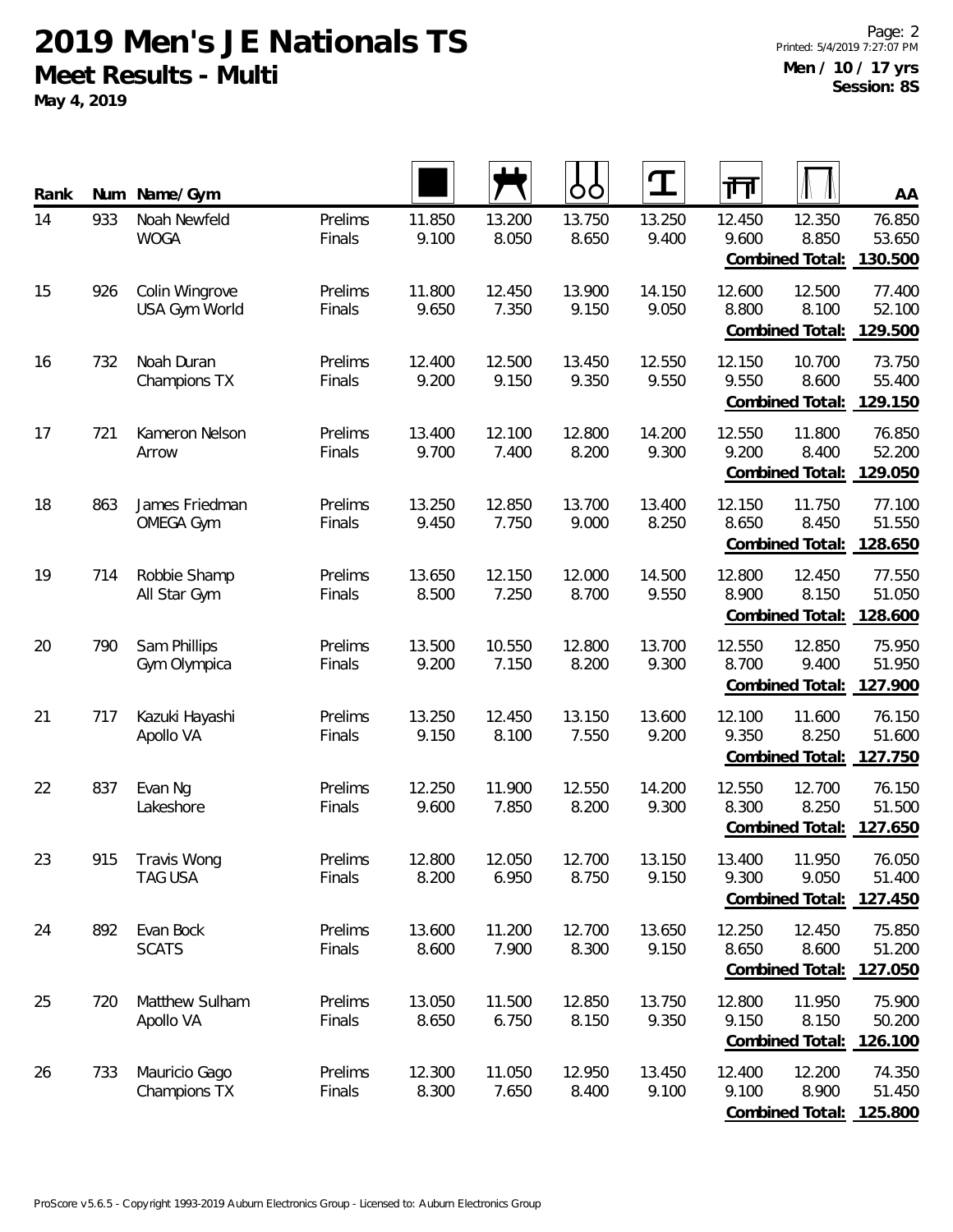**May 4, 2019**

| Rank | Num | Name/Gym                           |                   |                 |                 | OO              | $\mathbf T$     | 帀               |                                            | AA                          |
|------|-----|------------------------------------|-------------------|-----------------|-----------------|-----------------|-----------------|-----------------|--------------------------------------------|-----------------------------|
| 14   | 933 | Noah Newfeld<br><b>WOGA</b>        | Prelims<br>Finals | 11.850<br>9.100 | 13.200<br>8.050 | 13.750<br>8.650 | 13.250<br>9.400 | 12.450<br>9.600 | 12.350<br>8.850<br>Combined Total:         | 76.850<br>53.650<br>130.500 |
| 15   | 926 | Colin Wingrove<br>USA Gym World    | Prelims<br>Finals | 11.800<br>9.650 | 12.450<br>7.350 | 13.900<br>9.150 | 14.150<br>9.050 | 12.600<br>8.800 | 12.500<br>8.100<br>Combined Total:         | 77.400<br>52.100<br>129.500 |
| 16   | 732 | Noah Duran<br>Champions TX         | Prelims<br>Finals | 12.400<br>9.200 | 12.500<br>9.150 | 13.450<br>9.350 | 12.550<br>9.550 | 12.150<br>9.550 | 10.700<br>8.600<br>Combined Total:         | 73.750<br>55.400<br>129.150 |
| 17   | 721 | Kameron Nelson<br>Arrow            | Prelims<br>Finals | 13.400<br>9.700 | 12.100<br>7.400 | 12.800<br>8.200 | 14.200<br>9.300 | 12.550<br>9.200 | 11.800<br>8.400<br><b>Combined Total:</b>  | 76.850<br>52.200<br>129.050 |
| 18   | 863 | James Friedman<br><b>OMEGA Gym</b> | Prelims<br>Finals | 13.250<br>9.450 | 12.850<br>7.750 | 13.700<br>9.000 | 13.400<br>8.250 | 12.150<br>8.650 | 11.750<br>8.450<br>Combined Total:         | 77.100<br>51.550<br>128.650 |
| 19   | 714 | Robbie Shamp<br>All Star Gym       | Prelims<br>Finals | 13.650<br>8.500 | 12.150<br>7.250 | 12.000<br>8.700 | 14.500<br>9.550 | 12.800<br>8.900 | 12.450<br>8.150<br>Combined Total:         | 77.550<br>51.050<br>128.600 |
| 20   | 790 | Sam Phillips<br>Gym Olympica       | Prelims<br>Finals | 13.500<br>9.200 | 10.550<br>7.150 | 12.800<br>8.200 | 13.700<br>9.300 | 12.550<br>8.700 | 12.850<br>9.400<br>Combined Total:         | 75.950<br>51.950<br>127.900 |
| 21   | 717 | Kazuki Hayashi<br>Apollo VA        | Prelims<br>Finals | 13.250<br>9.150 | 12.450<br>8.100 | 13.150<br>7.550 | 13.600<br>9.200 | 12.100<br>9.350 | 11.600<br>8.250<br>Combined Total:         | 76.150<br>51.600<br>127.750 |
| 22   | 837 | Evan Ng<br>Lakeshore               | Prelims<br>Finals | 12.250<br>9.600 | 11.900<br>7.850 | 12.550<br>8.200 | 14.200<br>9.300 | 12.550<br>8.300 | 12.700<br>8.250<br>Combined Total:         | 76.150<br>51.500<br>127.650 |
| 23   | 915 | Travis Wong<br>TAG USA             | Prelims<br>Finals | 12.800<br>8.200 | 12.050<br>6.950 | 12.700<br>8.750 | 13.150<br>9.150 | 13.400<br>9.300 | 11.950<br>9.050<br>Combined Total:         | 76.050<br>51.400<br>127.450 |
| 24   | 892 | Evan Bock<br><b>SCATS</b>          | Prelims<br>Finals | 13.600<br>8.600 | 11.200<br>7.900 | 12.700<br>8.300 | 13.650<br>9.150 | 12.250<br>8.650 | 12.450<br>8.600<br>Combined Total:         | 75.850<br>51.200<br>127.050 |
| 25   | 720 | Matthew Sulham<br>Apollo VA        | Prelims<br>Finals | 13.050<br>8.650 | 11.500<br>6.750 | 12.850<br>8.150 | 13.750<br>9.350 | 12.800<br>9.150 | 11.950<br>8.150<br>Combined Total:         | 75.900<br>50.200<br>126.100 |
| 26   | 733 | Mauricio Gago<br>Champions TX      | Prelims<br>Finals | 12.300<br>8.300 | 11.050<br>7.650 | 12.950<br>8.400 | 13.450<br>9.100 | 12.400<br>9.100 | 12.200<br>8.900<br>Combined Total: 125.800 | 74.350<br>51.450            |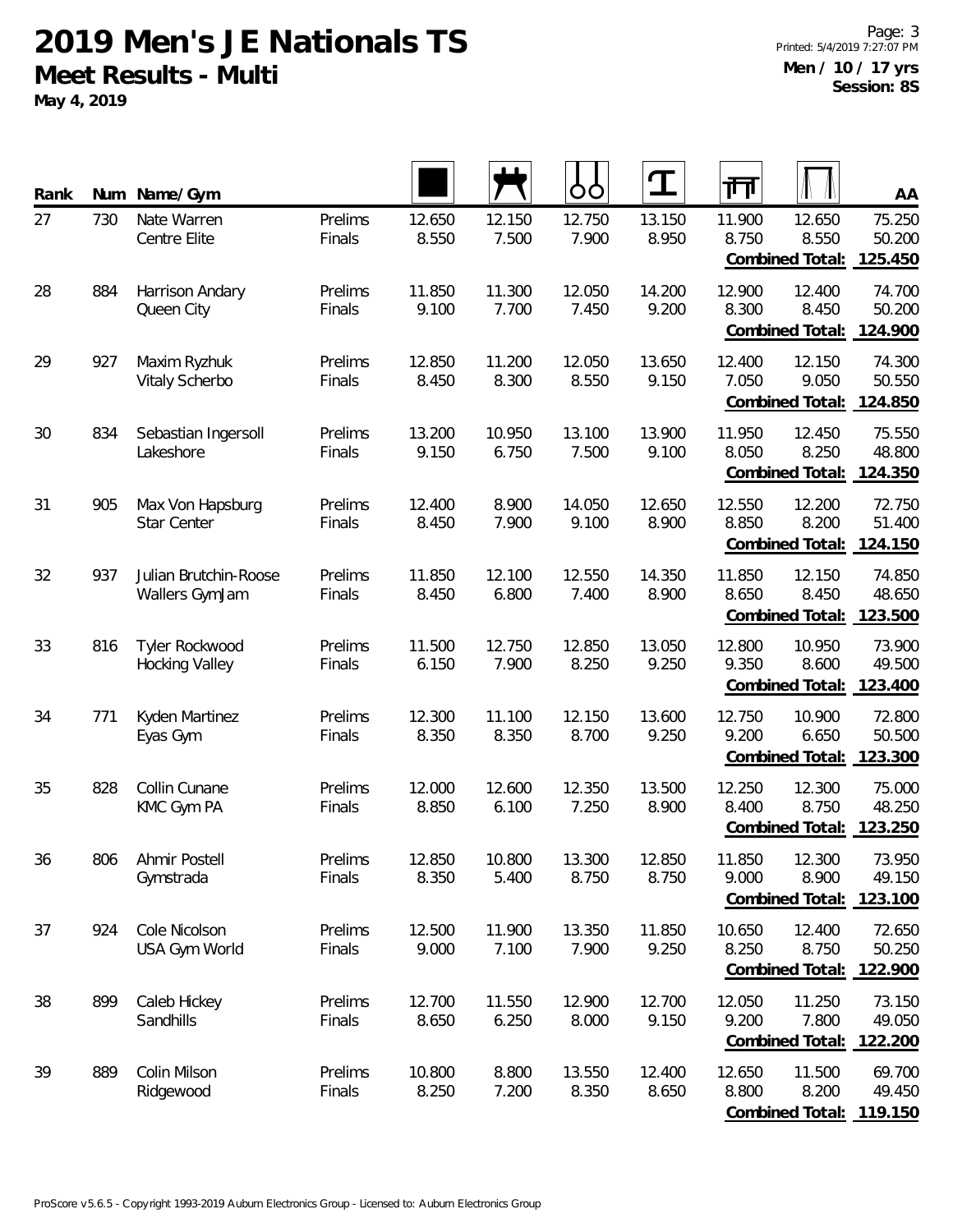**May 4, 2019**

| Rank | Num | Name/Gym                                |                   |                 |                 | O               | ${\bf T}$       | गंग                                                           | AA                          |
|------|-----|-----------------------------------------|-------------------|-----------------|-----------------|-----------------|-----------------|---------------------------------------------------------------|-----------------------------|
| 27   | 730 | Nate Warren<br>Centre Elite             | Prelims<br>Finals | 12.650<br>8.550 | 12.150<br>7.500 | 12.750<br>7.900 | 13.150<br>8.950 | 11.900<br>12.650<br>8.750<br>8.550<br>Combined Total:         | 75.250<br>50.200<br>125.450 |
| 28   | 884 | Harrison Andary<br>Queen City           | Prelims<br>Finals | 11.850<br>9.100 | 11.300<br>7.700 | 12.050<br>7.450 | 14.200<br>9.200 | 12.900<br>12.400<br>8.300<br>8.450<br>Combined Total:         | 74.700<br>50.200<br>124.900 |
| 29   | 927 | Maxim Ryzhuk<br>Vitaly Scherbo          | Prelims<br>Finals | 12.850<br>8.450 | 11.200<br>8.300 | 12.050<br>8.550 | 13.650<br>9.150 | 12.400<br>12.150<br>7.050<br>9.050<br><b>Combined Total:</b>  | 74.300<br>50.550<br>124.850 |
| 30   | 834 | Sebastian Ingersoll<br>Lakeshore        | Prelims<br>Finals | 13.200<br>9.150 | 10.950<br>6.750 | 13.100<br>7.500 | 13.900<br>9.100 | 11.950<br>12.450<br>8.250<br>8.050<br>Combined Total:         | 75.550<br>48.800<br>124.350 |
| 31   | 905 | Max Von Hapsburg<br>Star Center         | Prelims<br>Finals | 12.400<br>8.450 | 8.900<br>7.900  | 14.050<br>9.100 | 12.650<br>8.900 | 12.550<br>12.200<br>8.200<br>8.850<br>Combined Total:         | 72.750<br>51.400<br>124.150 |
| 32   | 937 | Julian Brutchin-Roose<br>Wallers GymJam | Prelims<br>Finals | 11.850<br>8.450 | 12.100<br>6.800 | 12.550<br>7.400 | 14.350<br>8.900 | 11.850<br>12.150<br>8.650<br>8.450<br>Combined Total:         | 74.850<br>48.650<br>123.500 |
| 33   | 816 | Tyler Rockwood<br><b>Hocking Valley</b> | Prelims<br>Finals | 11.500<br>6.150 | 12.750<br>7.900 | 12.850<br>8.250 | 13.050<br>9.250 | 12.800<br>10.950<br>9.350<br>8.600<br>Combined Total:         | 73.900<br>49.500<br>123.400 |
| 34   | 771 | Kyden Martinez<br>Eyas Gym              | Prelims<br>Finals | 12.300<br>8.350 | 11.100<br>8.350 | 12.150<br>8.700 | 13.600<br>9.250 | 12.750<br>10.900<br>9.200<br>6.650<br>Combined Total:         | 72.800<br>50.500<br>123.300 |
| 35   | 828 | Collin Cunane<br>KMC Gym PA             | Prelims<br>Finals | 12.000<br>8.850 | 12.600<br>6.100 | 12.350<br>7.250 | 13.500<br>8.900 | 12.250<br>12.300<br>8.400<br>8.750<br>Combined Total:         | 75.000<br>48.250<br>123.250 |
| 36   | 806 | Ahmir Postell<br>Gymstrada              | Prelims<br>Finals | 12.850<br>8.350 | 10.800<br>5.400 | 13.300<br>8.750 | 12.850<br>8.750 | 11.850<br>12.300<br>9.000<br>8.900<br>Combined Total: 123.100 | 73.950<br>49.150            |
| 37   | 924 | Cole Nicolson<br>USA Gym World          | Prelims<br>Finals | 12.500<br>9.000 | 11.900<br>7.100 | 13.350<br>7.900 | 11.850<br>9.250 | 10.650<br>12.400<br>8.250<br>8.750<br>Combined Total:         | 72.650<br>50.250<br>122.900 |
| 38   | 899 | Caleb Hickey<br>Sandhills               | Prelims<br>Finals | 12.700<br>8.650 | 11.550<br>6.250 | 12.900<br>8.000 | 12.700<br>9.150 | 12.050<br>11.250<br>9.200<br>7.800<br>Combined Total:         | 73.150<br>49.050<br>122.200 |
| 39   | 889 | Colin Milson<br>Ridgewood               | Prelims<br>Finals | 10.800<br>8.250 | 8.800<br>7.200  | 13.550<br>8.350 | 12.400<br>8.650 | 12.650<br>11.500<br>8.800<br>8.200<br>Combined Total:         | 69.700<br>49.450<br>119.150 |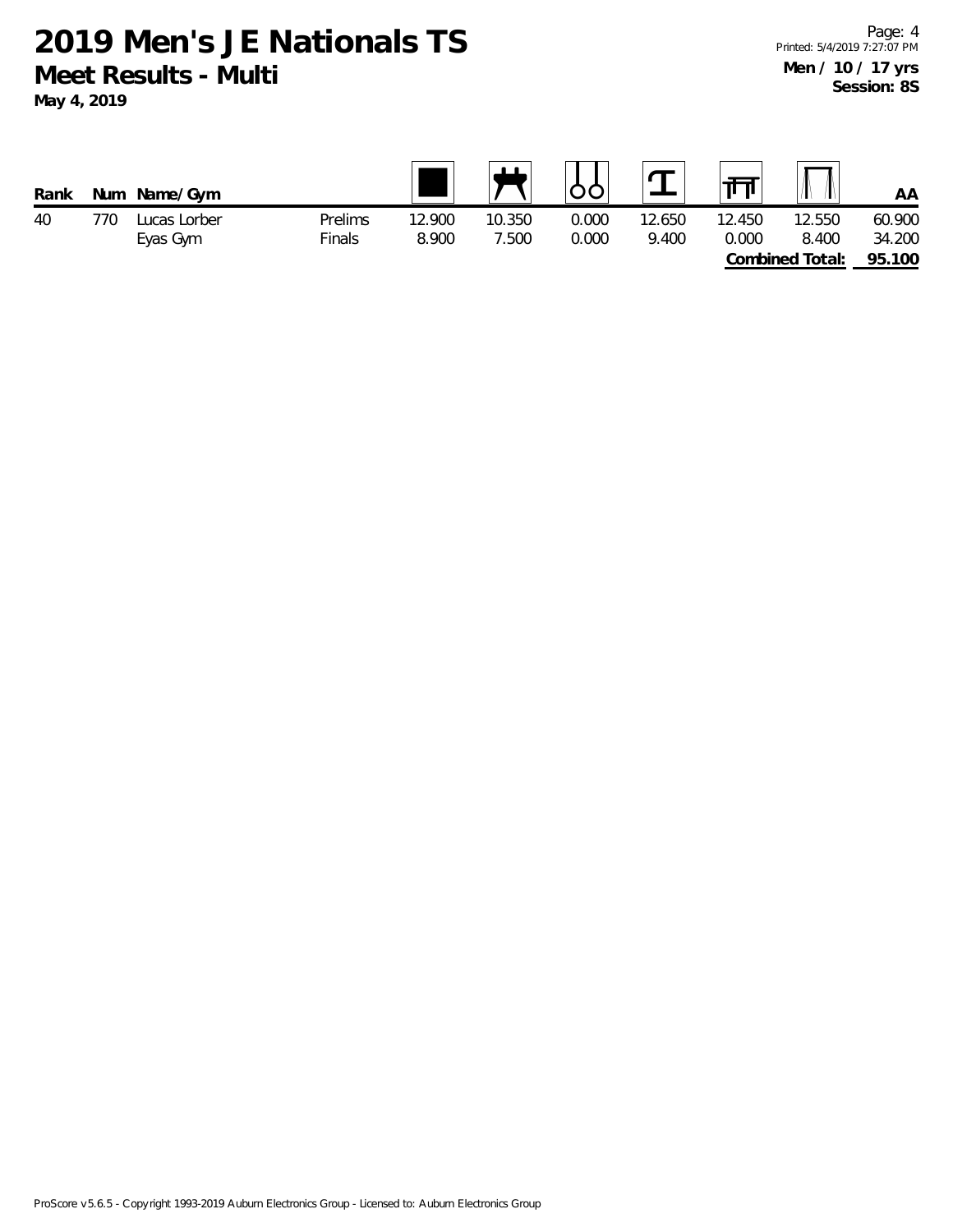**2019 Men's JE Nationals TS Meet Results - Multi May 4, 2019**

| Rank | Num | Name/Gym     |         |        | $\mathbf{H}$ |       |        | ता     |                 | AA     |
|------|-----|--------------|---------|--------|--------------|-------|--------|--------|-----------------|--------|
| 40   | 770 | Lucas Lorber | Prelims | 12.900 | 10.350       | 0.000 | 12.650 | 12.450 | 12.550          | 60.900 |
|      |     | Eyas Gym     | Finals  | 8.900  | 7.500        | 0.000 | 9.400  | 0.000  | 8.400           | 34.200 |
|      |     |              |         |        |              |       |        |        | Combined Total: | 95.100 |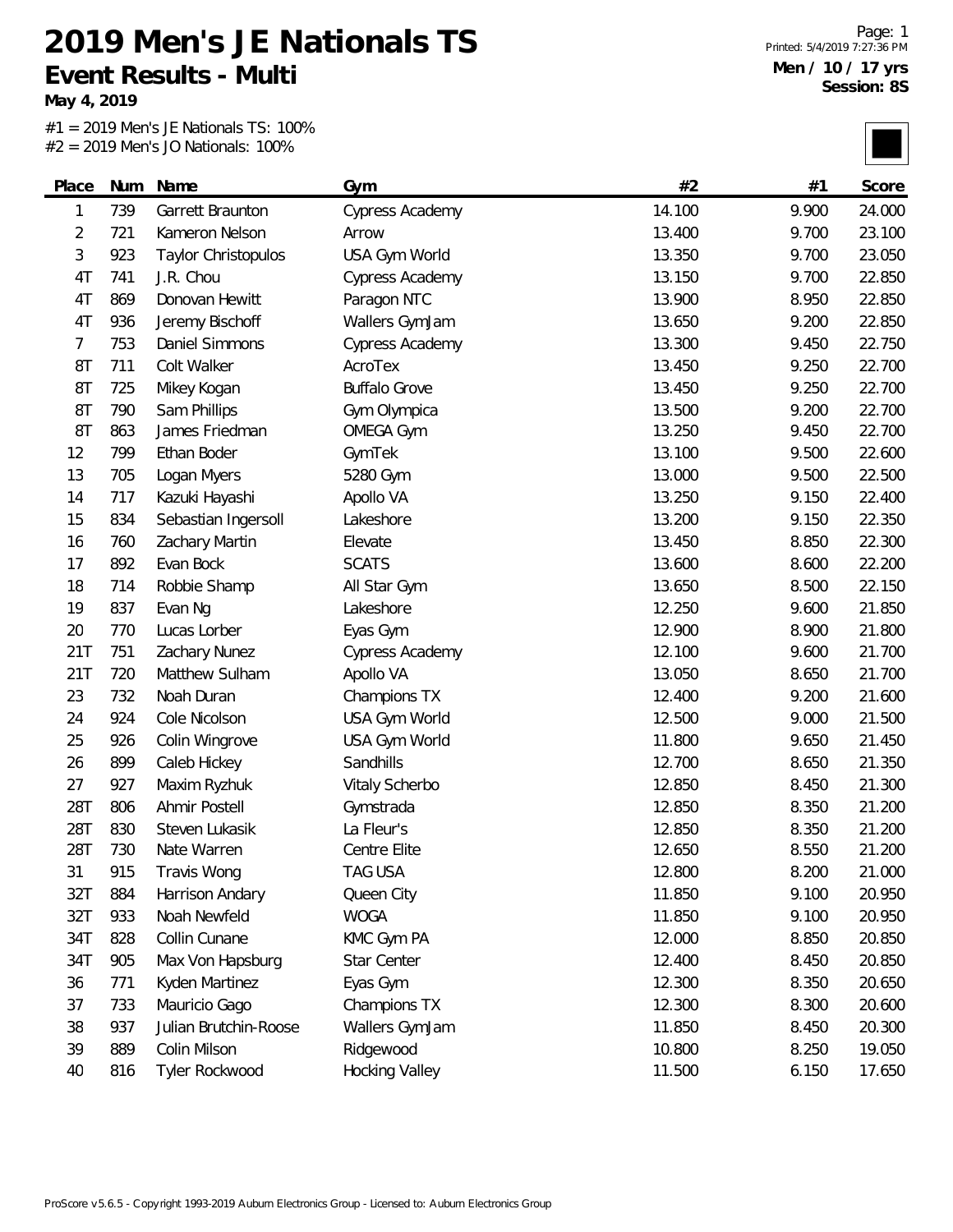**May 4, 2019**

#1 = 2019 Men's JE Nationals TS: 100% #2 = 2019 Men's JO Nationals: 100%

|                |     | $Z = Z013$ ivicits JO inductions. 10070 |                        |        |       |        |
|----------------|-----|-----------------------------------------|------------------------|--------|-------|--------|
| Place          | Num | Name                                    | Gym                    | #2     | #1    | Score  |
| 1              | 739 | Garrett Braunton                        | Cypress Academy        | 14.100 | 9.900 | 24.000 |
| 2              | 721 | Kameron Nelson                          | Arrow                  | 13.400 | 9.700 | 23.100 |
| 3              | 923 | Taylor Christopulos                     | USA Gym World          | 13.350 | 9.700 | 23.050 |
| 4T             | 741 | J.R. Chou                               | Cypress Academy        | 13.150 | 9.700 | 22.850 |
| 4T             | 869 | Donovan Hewitt                          | Paragon NTC            | 13.900 | 8.950 | 22.850 |
| 4T             | 936 | Jeremy Bischoff                         | Wallers GymJam         | 13.650 | 9.200 | 22.850 |
| $\overline{7}$ | 753 | Daniel Simmons                          | <b>Cypress Academy</b> | 13.300 | 9.450 | 22.750 |
| 8T             | 711 | Colt Walker                             | AcroTex                | 13.450 | 9.250 | 22.700 |
| 8T             | 725 | Mikey Kogan                             | <b>Buffalo Grove</b>   | 13.450 | 9.250 | 22.700 |
| 8T             | 790 | Sam Phillips                            | Gym Olympica           | 13.500 | 9.200 | 22.700 |
| 8T             | 863 | James Friedman                          | <b>OMEGA Gym</b>       | 13.250 | 9.450 | 22.700 |
| 12             | 799 | Ethan Boder                             | GymTek                 | 13.100 | 9.500 | 22.600 |
| 13             | 705 | Logan Myers                             | 5280 Gym               | 13.000 | 9.500 | 22.500 |
| 14             | 717 | Kazuki Hayashi                          | Apollo VA              | 13.250 | 9.150 | 22.400 |
| 15             | 834 | Sebastian Ingersoll                     | Lakeshore              | 13.200 | 9.150 | 22.350 |
| 16             | 760 | Zachary Martin                          | Elevate                | 13.450 | 8.850 | 22.300 |
| 17             | 892 | Evan Bock                               | <b>SCATS</b>           | 13.600 | 8.600 | 22.200 |
| 18             | 714 | Robbie Shamp                            | All Star Gym           | 13.650 | 8.500 | 22.150 |
| 19             | 837 | Evan Ng                                 | Lakeshore              | 12.250 | 9.600 | 21.850 |
| 20             | 770 | Lucas Lorber                            | Eyas Gym               | 12.900 | 8.900 | 21.800 |
| 21T            | 751 | Zachary Nunez                           | <b>Cypress Academy</b> | 12.100 | 9.600 | 21.700 |
| 21T            | 720 | Matthew Sulham                          | Apollo VA              | 13.050 | 8.650 | 21.700 |
| 23             | 732 | Noah Duran                              | Champions TX           | 12.400 | 9.200 | 21.600 |
| 24             | 924 | Cole Nicolson                           | USA Gym World          | 12.500 | 9.000 | 21.500 |
| 25             | 926 | Colin Wingrove                          | USA Gym World          | 11.800 | 9.650 | 21.450 |
| 26             | 899 | Caleb Hickey                            | Sandhills              | 12.700 | 8.650 | 21.350 |
| 27             | 927 | Maxim Ryzhuk                            | Vitaly Scherbo         | 12.850 | 8.450 | 21.300 |
| 28T            | 806 | Ahmir Postell                           | Gymstrada              | 12.850 | 8.350 | 21.200 |
| 28T            | 830 | Steven Lukasik                          | La Fleur's             | 12.850 | 8.350 | 21.200 |
| 28T            | 730 | Nate Warren                             | Centre Elite           | 12.650 | 8.550 | 21.200 |
| 31             | 915 | Travis Wong                             | TAG USA                | 12.800 | 8.200 | 21.000 |
| 32T            | 884 | Harrison Andary                         | Queen City             | 11.850 | 9.100 | 20.950 |
| 32T            | 933 | Noah Newfeld                            | <b>WOGA</b>            | 11.850 | 9.100 | 20.950 |
| 34T            | 828 | Collin Cunane                           | KMC Gym PA             | 12.000 | 8.850 | 20.850 |
| 34T            | 905 | Max Von Hapsburg                        | Star Center            | 12.400 | 8.450 | 20.850 |
| 36             | 771 | Kyden Martinez                          | Eyas Gym               | 12.300 | 8.350 | 20.650 |
| 37             | 733 | Mauricio Gago                           | Champions TX           | 12.300 | 8.300 | 20.600 |
| 38             | 937 | Julian Brutchin-Roose                   | Wallers GymJam         | 11.850 | 8.450 | 20.300 |
| 39             | 889 | Colin Milson                            | Ridgewood              | 10.800 | 8.250 | 19.050 |
| 40             | 816 | Tyler Rockwood                          | <b>Hocking Valley</b>  | 11.500 | 6.150 | 17.650 |
|                |     |                                         |                        |        |       |        |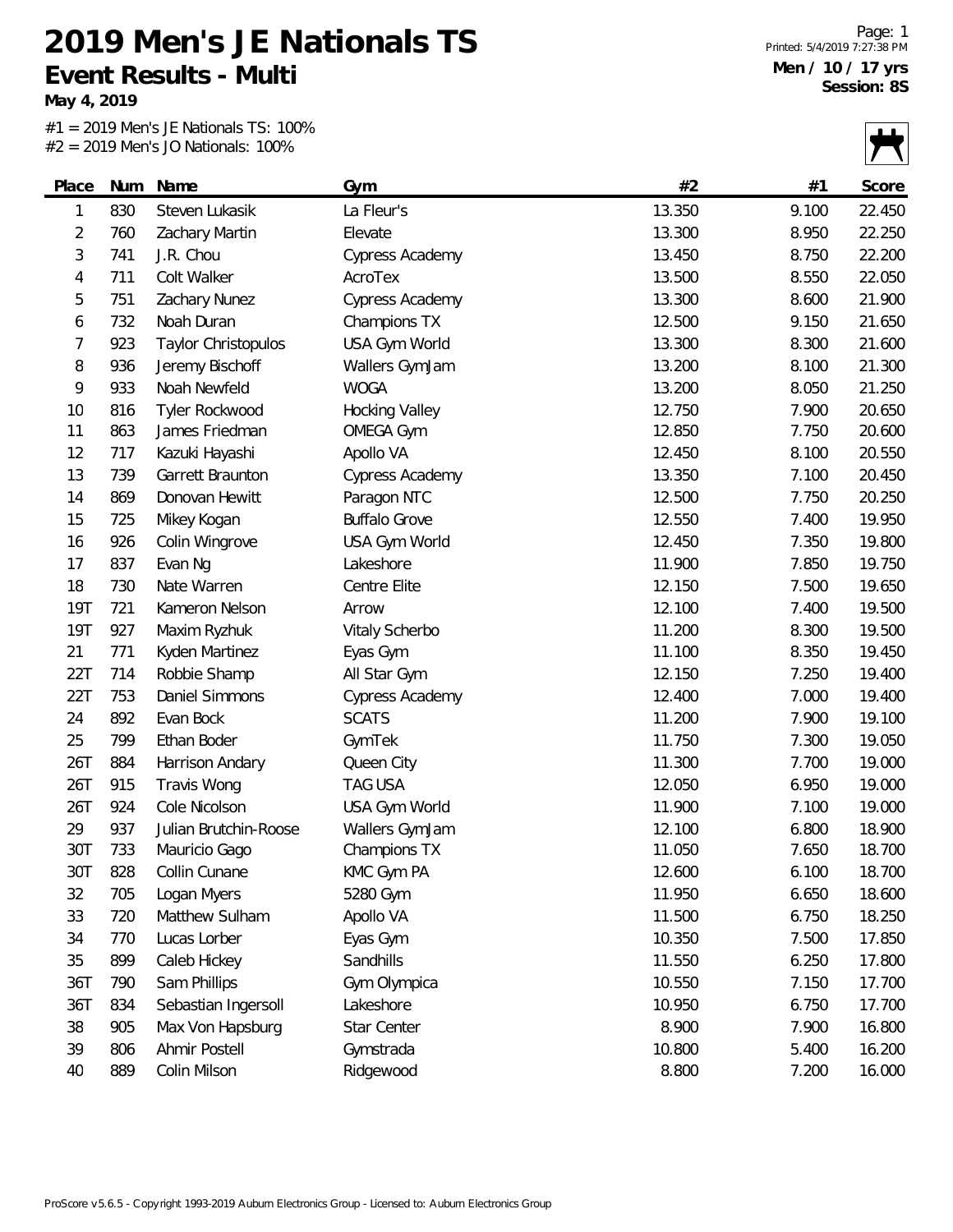**May 4, 2019**

 $\overline{\phantom{0}}$ 

#1 = 2019 Men's JE Nationals TS: 100% #2 = 2019 Men's JO Nationals: 100%

|                |     | $2017$ $10011330$ $1001011013$ . |                        |        |       | $\mathbf{I}$ |
|----------------|-----|----------------------------------|------------------------|--------|-------|--------------|
| Place          | Num | Name                             | Gym                    | #2     | #1    | Score        |
| 1              | 830 | Steven Lukasik                   | La Fleur's             | 13.350 | 9.100 | 22.450       |
| $\overline{2}$ | 760 | Zachary Martin                   | Elevate                | 13.300 | 8.950 | 22.250       |
| 3              | 741 | J.R. Chou                        | <b>Cypress Academy</b> | 13.450 | 8.750 | 22.200       |
| 4              | 711 | Colt Walker                      | AcroTex                | 13.500 | 8.550 | 22.050       |
| 5              | 751 | Zachary Nunez                    | Cypress Academy        | 13.300 | 8.600 | 21.900       |
| 6              | 732 | Noah Duran                       | Champions TX           | 12.500 | 9.150 | 21.650       |
| 7              | 923 | Taylor Christopulos              | USA Gym World          | 13.300 | 8.300 | 21.600       |
| 8              | 936 | Jeremy Bischoff                  | Wallers GymJam         | 13.200 | 8.100 | 21.300       |
| 9              | 933 | Noah Newfeld                     | <b>WOGA</b>            | 13.200 | 8.050 | 21.250       |
| 10             | 816 | Tyler Rockwood                   | <b>Hocking Valley</b>  | 12.750 | 7.900 | 20.650       |
| 11             | 863 | James Friedman                   | <b>OMEGA Gym</b>       | 12.850 | 7.750 | 20.600       |
| 12             | 717 | Kazuki Hayashi                   | Apollo VA              | 12.450 | 8.100 | 20.550       |
| 13             | 739 | Garrett Braunton                 | Cypress Academy        | 13.350 | 7.100 | 20.450       |
| 14             | 869 | Donovan Hewitt                   | Paragon NTC            | 12.500 | 7.750 | 20.250       |
| 15             | 725 | Mikey Kogan                      | <b>Buffalo Grove</b>   | 12.550 | 7.400 | 19.950       |
| 16             | 926 | Colin Wingrove                   | USA Gym World          | 12.450 | 7.350 | 19.800       |
| 17             | 837 | Evan Ng                          | Lakeshore              | 11.900 | 7.850 | 19.750       |
| 18             | 730 | Nate Warren                      | Centre Elite           | 12.150 | 7.500 | 19.650       |
| <b>19T</b>     | 721 | Kameron Nelson                   | Arrow                  | 12.100 | 7.400 | 19.500       |
| <b>19T</b>     | 927 | Maxim Ryzhuk                     | Vitaly Scherbo         | 11.200 | 8.300 | 19.500       |
| 21             | 771 | Kyden Martinez                   | Eyas Gym               | 11.100 | 8.350 | 19.450       |
| 22T            | 714 | Robbie Shamp                     | All Star Gym           | 12.150 | 7.250 | 19.400       |
| 22T            | 753 | Daniel Simmons                   | <b>Cypress Academy</b> | 12.400 | 7.000 | 19.400       |
| 24             | 892 | Evan Bock                        | <b>SCATS</b>           | 11.200 | 7.900 | 19.100       |
| 25             | 799 | Ethan Boder                      | GymTek                 | 11.750 | 7.300 | 19.050       |
| 26T            | 884 | Harrison Andary                  | Queen City             | 11.300 | 7.700 | 19.000       |
| 26T            | 915 | Travis Wong                      | <b>TAG USA</b>         | 12.050 | 6.950 | 19.000       |
| 26T            | 924 | Cole Nicolson                    | USA Gym World          | 11.900 | 7.100 | 19.000       |
| 29             | 937 | Julian Brutchin-Roose            | Wallers GymJam         | 12.100 | 6.800 | 18.900       |
| 30T            | 733 | Mauricio Gago                    | Champions TX           | 11.050 | 7.650 | 18.700       |
| 30T            | 828 | Collin Cunane                    | KMC Gym PA             | 12.600 | 6.100 | 18.700       |
| 32             | 705 | Logan Myers                      | 5280 Gym               | 11.950 | 6.650 | 18.600       |
| 33             | 720 | Matthew Sulham                   | Apollo VA              | 11.500 | 6.750 | 18.250       |
| 34             | 770 | Lucas Lorber                     | Eyas Gym               | 10.350 | 7.500 | 17.850       |
| 35             | 899 | Caleb Hickey                     | Sandhills              | 11.550 | 6.250 | 17.800       |
| 36T            | 790 | Sam Phillips                     | Gym Olympica           | 10.550 | 7.150 | 17.700       |
| 36T            | 834 | Sebastian Ingersoll              | Lakeshore              | 10.950 | 6.750 | 17.700       |
| 38             | 905 | Max Von Hapsburg                 | Star Center            | 8.900  | 7.900 | 16.800       |
| 39             | 806 | Ahmir Postell                    | Gymstrada              | 10.800 | 5.400 | 16.200       |
| 40             | 889 | Colin Milson                     | Ridgewood              | 8.800  | 7.200 | 16.000       |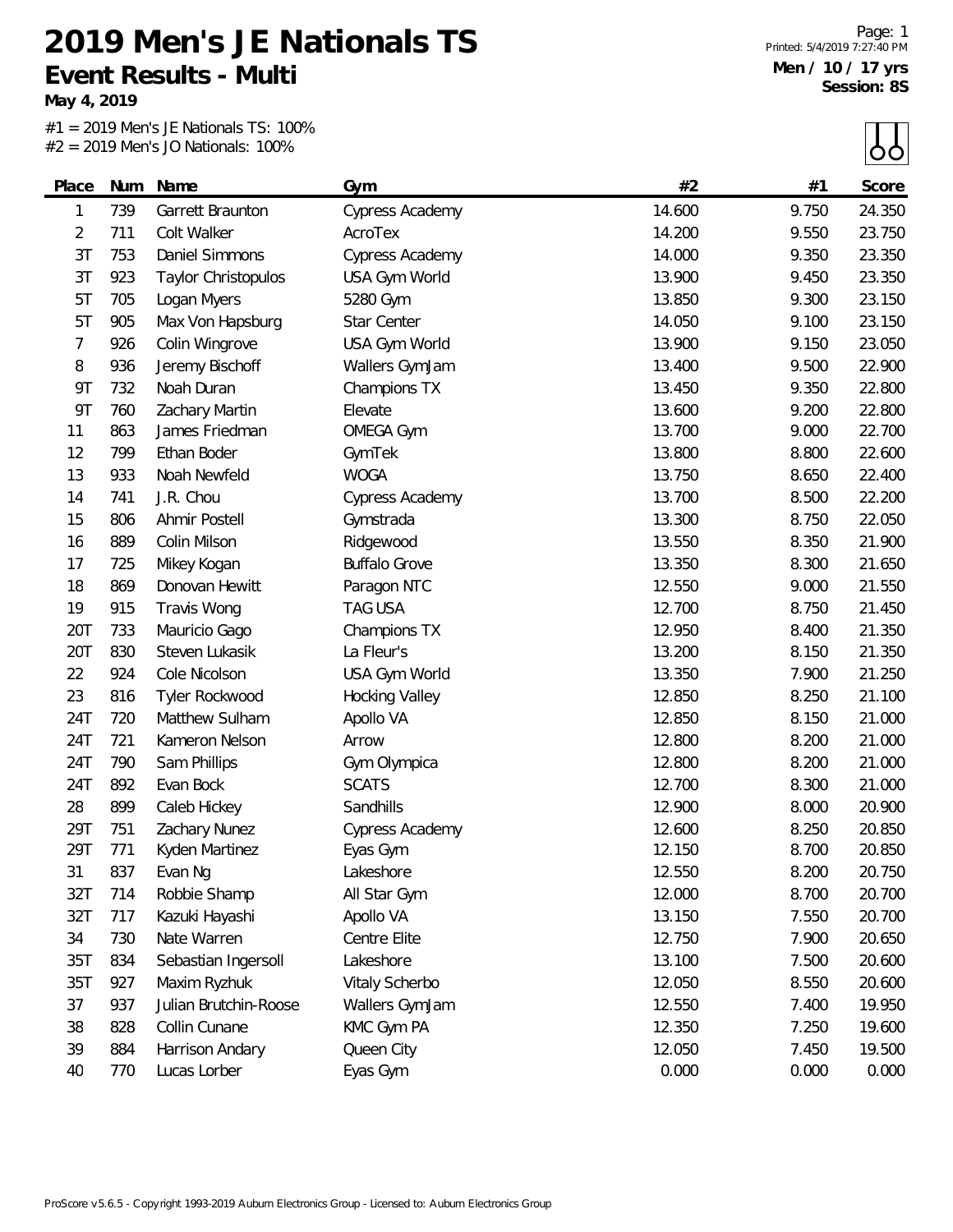**May 4, 2019**

 $\overline{\phantom{0}}$ 

#1 = 2019 Men's JE Nationals TS: 100% #2 = 2019 Men's JO Nationals: 100%

|           |     |                       |                        |        |       | $\cup$ |
|-----------|-----|-----------------------|------------------------|--------|-------|--------|
| Place     | Num | Name                  | Gym                    | #2     | #1    | Score  |
| 1         | 739 | Garrett Braunton      | <b>Cypress Academy</b> | 14.600 | 9.750 | 24.350 |
| 2         | 711 | Colt Walker           | AcroTex                | 14.200 | 9.550 | 23.750 |
| 3T        | 753 | Daniel Simmons        | Cypress Academy        | 14.000 | 9.350 | 23.350 |
| 3T        | 923 | Taylor Christopulos   | USA Gym World          | 13.900 | 9.450 | 23.350 |
| 5T        | 705 | Logan Myers           | 5280 Gym               | 13.850 | 9.300 | 23.150 |
| 5T        | 905 | Max Von Hapsburg      | Star Center            | 14.050 | 9.100 | 23.150 |
| 7         | 926 | Colin Wingrove        | USA Gym World          | 13.900 | 9.150 | 23.050 |
| 8         | 936 | Jeremy Bischoff       | Wallers GymJam         | 13.400 | 9.500 | 22.900 |
| 9T        | 732 | Noah Duran            | Champions TX           | 13.450 | 9.350 | 22.800 |
| <b>9T</b> | 760 | Zachary Martin        | Elevate                | 13.600 | 9.200 | 22.800 |
| 11        | 863 | James Friedman        | <b>OMEGA Gym</b>       | 13.700 | 9.000 | 22.700 |
| 12        | 799 | Ethan Boder           | GymTek                 | 13.800 | 8.800 | 22.600 |
| 13        | 933 | Noah Newfeld          | <b>WOGA</b>            | 13.750 | 8.650 | 22.400 |
| 14        | 741 | J.R. Chou             | <b>Cypress Academy</b> | 13.700 | 8.500 | 22.200 |
| 15        | 806 | Ahmir Postell         | Gymstrada              | 13.300 | 8.750 | 22.050 |
| 16        | 889 | Colin Milson          | Ridgewood              | 13.550 | 8.350 | 21.900 |
| 17        | 725 | Mikey Kogan           | <b>Buffalo Grove</b>   | 13.350 | 8.300 | 21.650 |
| 18        | 869 | Donovan Hewitt        | Paragon NTC            | 12.550 | 9.000 | 21.550 |
| 19        | 915 | Travis Wong           | <b>TAG USA</b>         | 12.700 | 8.750 | 21.450 |
| 20T       | 733 | Mauricio Gago         | Champions TX           | 12.950 | 8.400 | 21.350 |
| 20T       | 830 | Steven Lukasik        | La Fleur's             | 13.200 | 8.150 | 21.350 |
| 22        | 924 | Cole Nicolson         | USA Gym World          | 13.350 | 7.900 | 21.250 |
| 23        | 816 | Tyler Rockwood        | <b>Hocking Valley</b>  | 12.850 | 8.250 | 21.100 |
| 24T       | 720 | Matthew Sulham        | Apollo VA              | 12.850 | 8.150 | 21.000 |
| 24T       | 721 | Kameron Nelson        | Arrow                  | 12.800 | 8.200 | 21.000 |
| 24T       | 790 | Sam Phillips          | Gym Olympica           | 12.800 | 8.200 | 21.000 |
| 24T       | 892 | Evan Bock             | <b>SCATS</b>           | 12.700 | 8.300 | 21.000 |
| 28        | 899 | Caleb Hickey          | Sandhills              | 12.900 | 8.000 | 20.900 |
| 29T       | 751 | Zachary Nunez         | Cypress Academy        | 12.600 | 8.250 | 20.850 |
| 29T       | 771 | Kyden Martinez        | Eyas Gym               | 12.150 | 8.700 | 20.850 |
| 31        | 837 | Evan Ng               | Lakeshore              | 12.550 | 8.200 | 20.750 |
| 32T       | 714 | Robbie Shamp          | All Star Gym           | 12.000 | 8.700 | 20.700 |
| 32T       | 717 | Kazuki Hayashi        | Apollo VA              | 13.150 | 7.550 | 20.700 |
| 34        | 730 | Nate Warren           | Centre Elite           | 12.750 | 7.900 | 20.650 |
| 35T       | 834 | Sebastian Ingersoll   | Lakeshore              | 13.100 | 7.500 | 20.600 |
| 35T       | 927 | Maxim Ryzhuk          | Vitaly Scherbo         | 12.050 | 8.550 | 20.600 |
| 37        | 937 | Julian Brutchin-Roose | Wallers GymJam         | 12.550 | 7.400 | 19.950 |
| 38        | 828 | Collin Cunane         | KMC Gym PA             | 12.350 | 7.250 | 19.600 |
| 39        | 884 | Harrison Andary       | Queen City             | 12.050 | 7.450 | 19.500 |
| 40        | 770 | Lucas Lorber          | Eyas Gym               | 0.000  | 0.000 | 0.000  |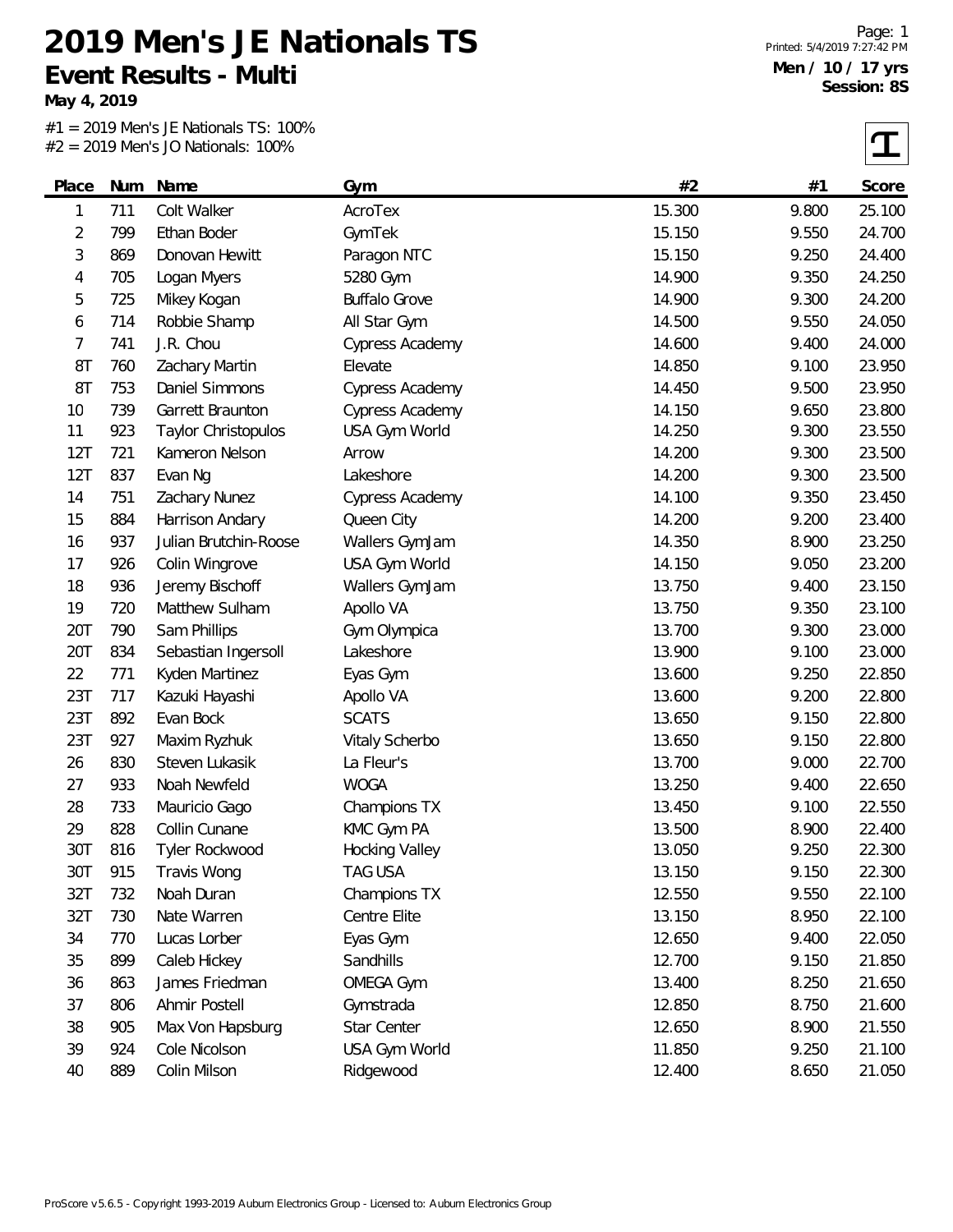**May 4, 2019**

#1 = 2019 Men's JE Nationals TS: 100% #2 = 2019 Men's JO Nationals: 100%

 $|\mathbf{T}|$ 

| Place          | Num | Name                  | Gym                   | #2     | #1    | Score  |
|----------------|-----|-----------------------|-----------------------|--------|-------|--------|
| 1              | 711 | Colt Walker           | AcroTex               | 15.300 | 9.800 | 25.100 |
| $\overline{2}$ | 799 | Ethan Boder           | GymTek                | 15.150 | 9.550 | 24.700 |
| 3              | 869 | Donovan Hewitt        | Paragon NTC           | 15.150 | 9.250 | 24.400 |
| 4              | 705 | Logan Myers           | 5280 Gym              | 14.900 | 9.350 | 24.250 |
| 5              | 725 | Mikey Kogan           | <b>Buffalo Grove</b>  | 14.900 | 9.300 | 24.200 |
| 6              | 714 | Robbie Shamp          | All Star Gym          | 14.500 | 9.550 | 24.050 |
| 7              | 741 | J.R. Chou             | Cypress Academy       | 14.600 | 9.400 | 24.000 |
| 8T             | 760 | Zachary Martin        | Elevate               | 14.850 | 9.100 | 23.950 |
| 8T             | 753 | Daniel Simmons        | Cypress Academy       | 14.450 | 9.500 | 23.950 |
| 10             | 739 | Garrett Braunton      | Cypress Academy       | 14.150 | 9.650 | 23.800 |
| 11             | 923 | Taylor Christopulos   | USA Gym World         | 14.250 | 9.300 | 23.550 |
| 12T            | 721 | Kameron Nelson        | Arrow                 | 14.200 | 9.300 | 23.500 |
| 12T            | 837 | Evan Ng               | Lakeshore             | 14.200 | 9.300 | 23.500 |
| 14             | 751 | Zachary Nunez         | Cypress Academy       | 14.100 | 9.350 | 23.450 |
| 15             | 884 | Harrison Andary       | Queen City            | 14.200 | 9.200 | 23.400 |
| 16             | 937 | Julian Brutchin-Roose | Wallers GymJam        | 14.350 | 8.900 | 23.250 |
| 17             | 926 | Colin Wingrove        | USA Gym World         | 14.150 | 9.050 | 23.200 |
| 18             | 936 | Jeremy Bischoff       | Wallers GymJam        | 13.750 | 9.400 | 23.150 |
| 19             | 720 | Matthew Sulham        | Apollo VA             | 13.750 | 9.350 | 23.100 |
| 20T            | 790 | Sam Phillips          | Gym Olympica          | 13.700 | 9.300 | 23.000 |
| 20T            | 834 | Sebastian Ingersoll   | Lakeshore             | 13.900 | 9.100 | 23.000 |
| 22             | 771 | Kyden Martinez        | Eyas Gym              | 13.600 | 9.250 | 22.850 |
| 23T            | 717 | Kazuki Hayashi        | Apollo VA             | 13.600 | 9.200 | 22.800 |
| 23T            | 892 | Evan Bock             | <b>SCATS</b>          | 13.650 | 9.150 | 22.800 |
| 23T            | 927 | Maxim Ryzhuk          | <b>Vitaly Scherbo</b> | 13.650 | 9.150 | 22.800 |
| 26             | 830 | Steven Lukasik        | La Fleur's            | 13.700 | 9.000 | 22.700 |
| 27             | 933 | Noah Newfeld          | <b>WOGA</b>           | 13.250 | 9.400 | 22.650 |
| 28             | 733 | Mauricio Gago         | Champions TX          | 13.450 | 9.100 | 22.550 |
| 29             | 828 | Collin Cunane         | KMC Gym PA            | 13.500 | 8.900 | 22.400 |
| 30T            | 816 | Tyler Rockwood        | Hocking Valley        | 13.050 | 9.250 | 22.300 |
| 30T            | 915 | Travis Wong           | TAG USA               | 13.150 | 9.150 | 22.300 |
| 32T            | 732 | Noah Duran            | Champions TX          | 12.550 | 9.550 | 22.100 |
| 32T            | 730 | Nate Warren           | Centre Elite          | 13.150 | 8.950 | 22.100 |
| 34             | 770 | Lucas Lorber          | Eyas Gym              | 12.650 | 9.400 | 22.050 |
| 35             | 899 | Caleb Hickey          | Sandhills             | 12.700 | 9.150 | 21.850 |
| 36             | 863 | James Friedman        | OMEGA Gym             | 13.400 | 8.250 | 21.650 |
| 37             | 806 | Ahmir Postell         | Gymstrada             | 12.850 | 8.750 | 21.600 |
| 38             | 905 | Max Von Hapsburg      | Star Center           | 12.650 | 8.900 | 21.550 |
| 39             | 924 | Cole Nicolson         | USA Gym World         | 11.850 | 9.250 | 21.100 |
| 40             | 889 | Colin Milson          | Ridgewood             | 12.400 | 8.650 | 21.050 |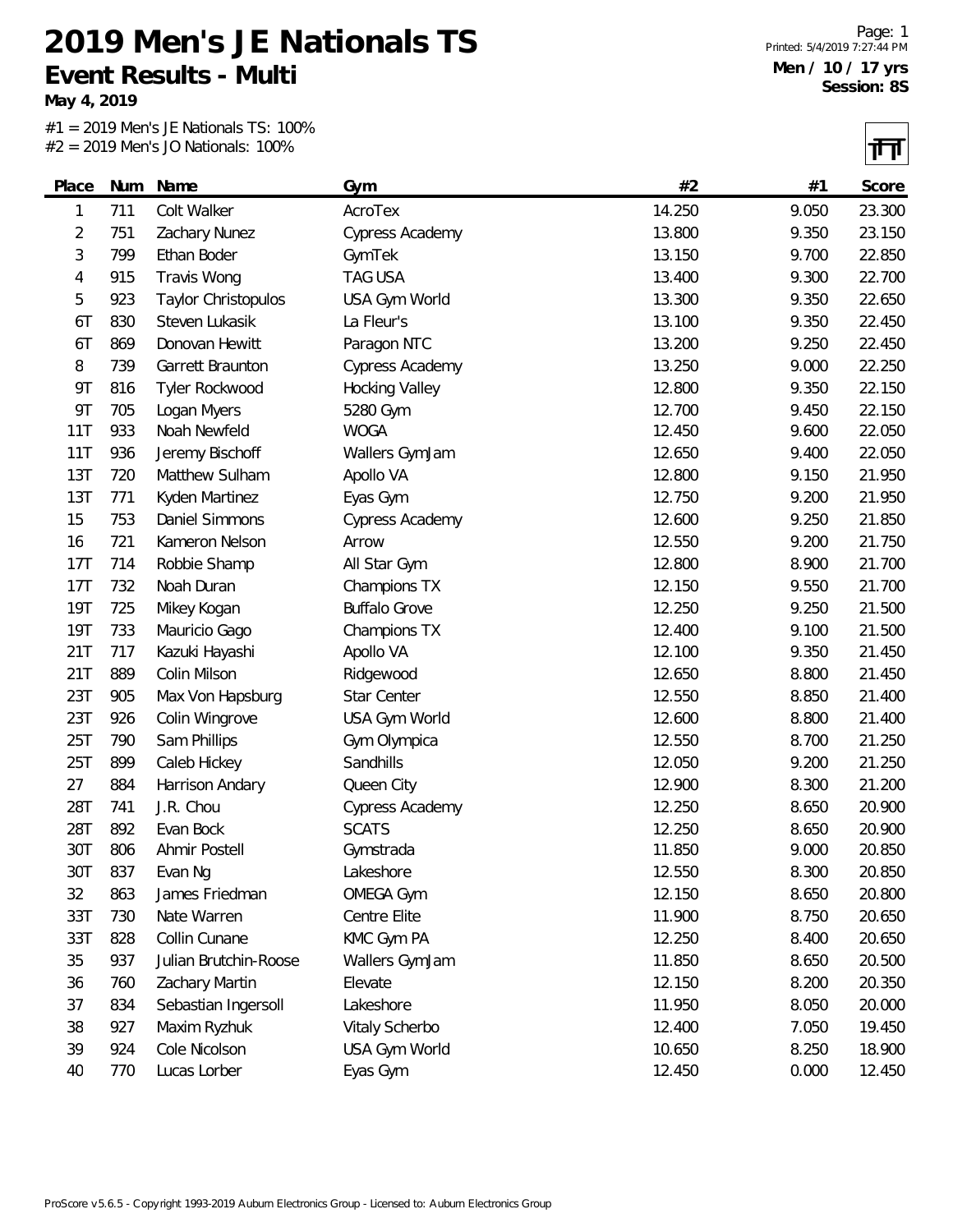**May 4, 2019**

#1 = 2019 Men's JE Nationals TS: 100%  $#2 = 2019$  Men's JO Nationals: 100%

Ŧ

|            |     | $\pi z$ - 2017 IVICITS JO NGUOHAIS. TOO 70 |                      |        |       | 14 H   |
|------------|-----|--------------------------------------------|----------------------|--------|-------|--------|
| Place      | Num | Name                                       | Gym                  | #2     | #1    | Score  |
| 1          | 711 | Colt Walker                                | AcroTex              | 14.250 | 9.050 | 23.300 |
| 2          | 751 | Zachary Nunez                              | Cypress Academy      | 13.800 | 9.350 | 23.150 |
| 3          | 799 | Ethan Boder                                | GymTek               | 13.150 | 9.700 | 22.850 |
| 4          | 915 | Travis Wong                                | <b>TAG USA</b>       | 13.400 | 9.300 | 22.700 |
| 5          | 923 | Taylor Christopulos                        | USA Gym World        | 13.300 | 9.350 | 22.650 |
| 6T         | 830 | Steven Lukasik                             | La Fleur's           | 13.100 | 9.350 | 22.450 |
| 6T         | 869 | Donovan Hewitt                             | Paragon NTC          | 13.200 | 9.250 | 22.450 |
| 8          | 739 | Garrett Braunton                           | Cypress Academy      | 13.250 | 9.000 | 22.250 |
| <b>9T</b>  | 816 | Tyler Rockwood                             | Hocking Valley       | 12.800 | 9.350 | 22.150 |
| <b>9T</b>  | 705 | Logan Myers                                | 5280 Gym             | 12.700 | 9.450 | 22.150 |
| 11T        | 933 | Noah Newfeld                               | <b>WOGA</b>          | 12.450 | 9.600 | 22.050 |
| 11T        | 936 | Jeremy Bischoff                            | Wallers GymJam       | 12.650 | 9.400 | 22.050 |
| 13T        | 720 | Matthew Sulham                             | Apollo VA            | 12.800 | 9.150 | 21.950 |
| 13T        | 771 | Kyden Martinez                             | Eyas Gym             | 12.750 | 9.200 | 21.950 |
| 15         | 753 | Daniel Simmons                             | Cypress Academy      | 12.600 | 9.250 | 21.850 |
| 16         | 721 | Kameron Nelson                             | Arrow                | 12.550 | 9.200 | 21.750 |
| 17T        | 714 | Robbie Shamp                               | All Star Gym         | 12.800 | 8.900 | 21.700 |
| 17T        | 732 | Noah Duran                                 | Champions TX         | 12.150 | 9.550 | 21.700 |
| <b>19T</b> | 725 | Mikey Kogan                                | <b>Buffalo Grove</b> | 12.250 | 9.250 | 21.500 |
| <b>19T</b> | 733 | Mauricio Gago                              | Champions TX         | 12.400 | 9.100 | 21.500 |
| 21T        | 717 | Kazuki Hayashi                             | Apollo VA            | 12.100 | 9.350 | 21.450 |
| 21T        | 889 | Colin Milson                               | Ridgewood            | 12.650 | 8.800 | 21.450 |
| 23T        | 905 | Max Von Hapsburg                           | Star Center          | 12.550 | 8.850 | 21.400 |
| 23T        | 926 | Colin Wingrove                             | USA Gym World        | 12.600 | 8.800 | 21.400 |
| 25T        | 790 | Sam Phillips                               | Gym Olympica         | 12.550 | 8.700 | 21.250 |
| 25T        | 899 | Caleb Hickey                               | Sandhills            | 12.050 | 9.200 | 21.250 |
| 27         | 884 | Harrison Andary                            | Queen City           | 12.900 | 8.300 | 21.200 |
| 28T        | 741 | J.R. Chou                                  | Cypress Academy      | 12.250 | 8.650 | 20.900 |
| 28T        | 892 | Evan Bock                                  | <b>SCATS</b>         | 12.250 | 8.650 | 20.900 |
| 30T        | 806 | Ahmir Postell                              | Gymstrada            | 11.850 | 9.000 | 20.850 |
| 30T        | 837 | Evan Ng                                    | Lakeshore            | 12.550 | 8.300 | 20.850 |
| 32         | 863 | James Friedman                             | <b>OMEGA Gym</b>     | 12.150 | 8.650 | 20.800 |
| 33T        | 730 | Nate Warren                                | Centre Elite         | 11.900 | 8.750 | 20.650 |
| 33T        | 828 | Collin Cunane                              | KMC Gym PA           | 12.250 | 8.400 | 20.650 |
| 35         | 937 | Julian Brutchin-Roose                      | Wallers GymJam       | 11.850 | 8.650 | 20.500 |
| 36         | 760 | Zachary Martin                             | Elevate              | 12.150 | 8.200 | 20.350 |
| 37         | 834 | Sebastian Ingersoll                        | Lakeshore            | 11.950 | 8.050 | 20.000 |
| 38         | 927 | Maxim Ryzhuk                               | Vitaly Scherbo       | 12.400 | 7.050 | 19.450 |
| 39         | 924 | Cole Nicolson                              | USA Gym World        | 10.650 | 8.250 | 18.900 |
| 40         | 770 | Lucas Lorber                               | Eyas Gym             | 12.450 | 0.000 | 12.450 |